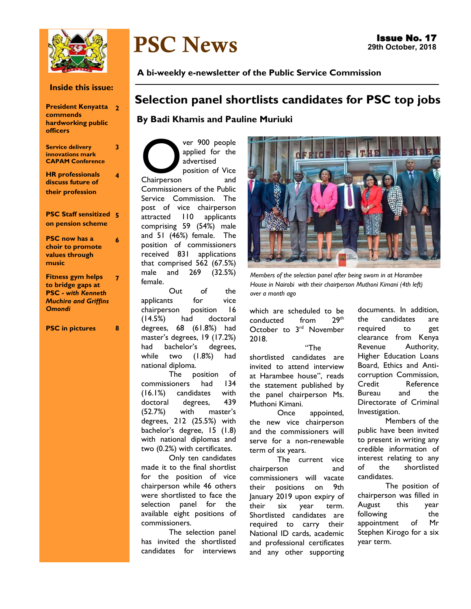

**Inside this issue:**

| <b>President Kenyatta</b> | 2 |
|---------------------------|---|
| commends                  |   |
| hardworking public        |   |
| <b>officers</b>           |   |

**3**

**4**

**6**

**Service delivery innovations mark CAPAM Conference**

**HR professionals discuss future of their profession** 

#### **PSC Staff sensitized 5 on pension scheme**

**PSC now has a choir to promote values through music**

**Fitness gym helps to bridge gaps at PSC -** *with Kenneth Muchira and Griffins Omondi* **7**

**PSC in pictures 8**

# PSC News

**A bi-weekly e-newsletter of the Public Service Commission** 

## **Selection panel shortlists candidates for PSC top jobs**

## **By Badi Khamis and Pauline Muriuki**

ver 900 people<br>applied for the<br>advertised<br>position of Vice<br>and ver 900 people applied for the advertised position of Vice Commissioners of the Public Service Commission. The post of vice chairperson attracted 110 applicants comprising 59 (54%) male and 51 (46%) female. The position of commissioners received 831 applications that comprised 562 (67.5%) male and 269 (32.5%) female.

Out of the applicants for vice chairperson position 16 (14.5%) had doctoral degrees, 68 (61.8%) had master's degrees, 19 (17.2%) had bachelor's degrees, while two (1.8%) had national diploma.

The position of commissioners had 134 (16.1%) candidates with doctoral degrees, 439 (52.7%) with master's degrees, 212 (25.5%) with bachelor's degree, 15 (1.8) with national diplomas and two (0.2%) with certificates.

Only ten candidates made it to the final shortlist for the position of vice chairperson while 46 others were shortlisted to face the selection panel for the available eight positions of commissioners.

The selection panel has invited the shortlisted candidates for interviews



*Members of the selection panel after being sworn in at Harambee House in Nairobi with their chairperson Muthoni Kimani (4th left) over a month ago*

which are scheduled to be conducted from 29th October to 3<sup>rd</sup> November 2018.

"The shortlisted candidates are invited to attend interview at Harambee house", reads the statement published by the panel chairperson Ms. Muthoni Kimani.

Once appointed, the new vice chairperson and the commissioners will serve for a non-renewable term of six years.

The current vice chairperson and commissioners will vacate their positions on 9th January 2019 upon expiry of their six year term. Shortlisted candidates are required to carry their National ID cards, academic and professional certificates and any other supporting

documents. In addition, the candidates are required to get clearance from Kenya Revenue Authority, Higher Education Loans Board, Ethics and Anticorruption Commission, Credit Reference Bureau and the Directorate of Criminal Investigation.

Members of the public have been invited to present in writing any credible information of interest relating to any of the shortlisted candidates.

The position of chairperson was filled in August this year following the appointment of Mr Stephen Kirogo for a six year term.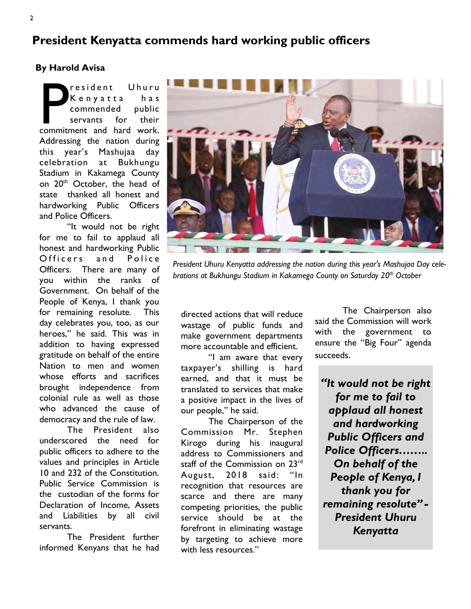## **President Kenyatta commends hard working public officers**

## **By Harold Avisa**

President Uhuru<br>
Kenyatta has<br>
commended public<br>
servants for their<br>
commitment and hard work. resident Uhuru K e n y a t t a h a s commended public servants for their Addressing the nation during this year's Mashujaa day celebration at Bukhungu Stadium in Kakamega County on 20<sup>th</sup> October, the head of state thanked all honest and hardworking Public Officers and Police Officers.

"It would not be right for me to fail to applaud all honest and hardworking Public Officers and Police Officers. There are many of you within the ranks of Government. On behalf of the People of Kenya, I thank you for remaining resolute. This day celebrates you, too, as our heroes," he said. This was in addition to having expressed gratitude on behalf of the entire Nation to men and women whose efforts and sacrifices brought independence from colonial rule as well as those who advanced the cause of democracy and the rule of law.

The President also underscored the need for public officers to adhere to the values and principles in Article 10 and 232 of the Constitution. Public Service Commission is the custodian of the forms for Declaration of Income, Assets and Liabilities by all civil servants.

The President further informed Kenyans that he had



*President Uhuru Kenyatta addressing the nation during this year's Mashujaa Day celebrations at Bukhungu Stadium in Kakamega County on Saturday 20th October*

directed actions that will reduce wastage of public funds and make government departments more accountable and efficient.

"I am aware that every taxpayer's shilling is hard earned, and that it must be translated to services that make a positive impact in the lives of our people," he said.

The Chairperson of the Commission Mr. Stephen Kirogo during his inaugural address to Commissioners and staff of the Commission on 23<sup>rd</sup> August, 2018 said: "In recognition that resources are scarce and there are many competing priorities, the public service should be at the forefront in eliminating wastage by targeting to achieve more with less resources."

The Chairperson also said the Commission will work with the government to ensure the "Big Four" agenda succeeds.

*"It would not be right for me to fail to applaud all honest and hardworking Public Officers and Police Officers…….. On behalf of the People of Kenya, I thank you for remaining resolute" - President Uhuru Kenyatta*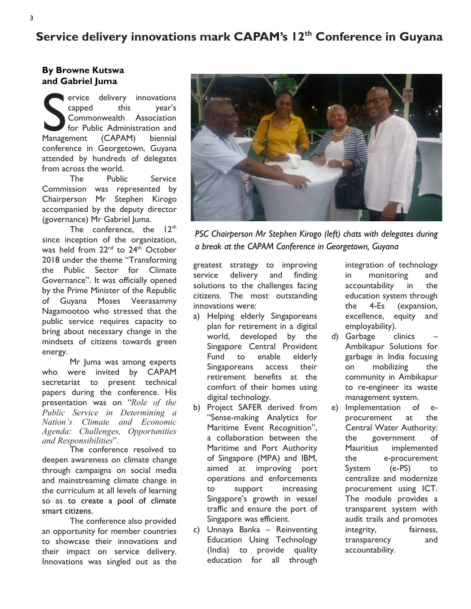## **Service delivery innovations mark CAPAM's 12th Conference in Guyana**

## **By Browne Kutswa and Gabriel Juma**

Expedition of this transformation of the Management (CAPAM) biennial **ervice** delivery innovations capped this year's Commonwealth Association for Public Administration and conference in Georgetown, Guyana attended by hundreds of delegates from across the world.

The Public Service Commission was represented by Chairperson Mr Stephen Kirogo accompanied by the deputy director (governance) Mr Gabriel Juma.

The conference, the  $12<sup>th</sup>$ since inception of the organization, was held from 22<sup>nd</sup> to 24<sup>th</sup> October 2018 under the theme "Transforming the Public Sector for Climate Governance". It was officially opened by the Prime Minister of the Republic of Guyana Moses Veerasammy Nagamootoo who stressed that the public service requires capacity to bring about necessary change in the mindsets of citizens towards green energy.

Mr Juma was among experts who were invited by CAPAM secretariat to present technical papers during the conference. His presentation was on *"Role of the Public Service in Determining a Nation's Climate and Economic Agenda: Challenges, Opportunities and Responsibilities*".

The conference resolved to deepen awareness on climate change through campaigns on social media and mainstreaming climate change in the curriculum at all levels of learning so as to create a pool of climate smart citizens.

The conference also provided an opportunity for member countries to showcase their innovations and their impact on service delivery. Innovations was singled out as the



*PSC Chairperson Mr Stephen Kirogo (left) chats with delegates during a break at the CAPAM Conference in Georgetown, Guyana*

greatest strategy to improving service delivery and finding solutions to the challenges facing citizens. The most outstanding innovations were:

- a) Helping elderly Singaporeans plan for retirement in a digital world, developed by the Singapore Central Provident Fund to enable elderly Singaporeans access their retirement benefits at the comfort of their homes using digital technology.
- b) Project SAFER derived from "Sense-making Analytics for Maritime Event Recognition", a collaboration between the Maritime and Port Authority of Singapore (MPA) and IBM, aimed at improving port operations and enforcements to support increasing Singapore's growth in vessel traffic and ensure the port of Singapore was efficient.
- c) Unnaya Banka Reinventing Education Using Technology (India) to provide quality education for all through

integration of technology in monitoring and accountability in the education system through the 4-Es (expansion, excellence, equity and employability).

- d) Garbage clinics Ambikapur Solutions for garbage in India focusing on mobilizing the community in Ambikapur to re-engineer its waste management system.
- e) Implementation of eprocurement at the Central Water Authority: the government of Mauritius implemented the e-procurement System (e-PS) to centralize and modernize procurement using ICT. The module provides a transparent system with audit trails and promotes integrity, fairness, transparency and accountability.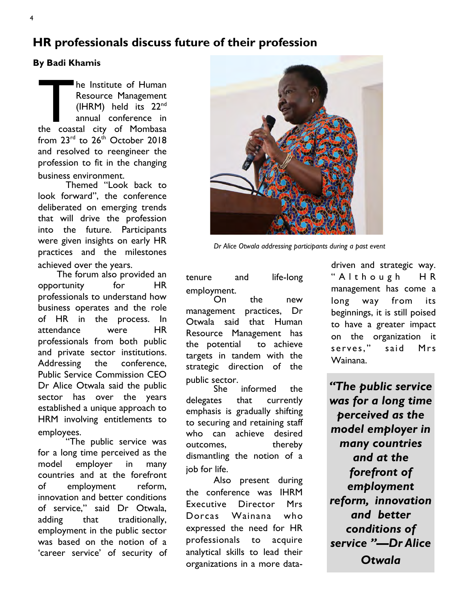## **HR professionals discuss future of their profession**

## **By Badi Khamis**

The Institute of Human<br>Resource Management<br>(IHRM) held its 22<sup>nd</sup><br>annual conference in<br>the coastal city of Mombasa he Institute of Human Resource Management (IHRM) held its 22nd annual conference in from  $23^{\text{rd}}$  to  $26^{\text{th}}$  October 2018 and resolved to reengineer the profession to fit in the changing business environment.

Themed "Look back to look forward", the conference deliberated on emerging trends that will drive the profession into the future. Participants were given insights on early HR practices and the milestones achieved over the years.

 The forum also provided an opportunity for HR professionals to understand how business operates and the role of HR in the process. In attendance were HR professionals from both public and private sector institutions. Addressing the conference, Public Service Commission CEO Dr Alice Otwala said the public sector has over the years established a unique approach to HRM involving entitlements to employees.

"The public service was for a long time perceived as the model employer in many countries and at the forefront of employment reform, innovation and better conditions of service," said Dr Otwala, adding that traditionally, employment in the public sector was based on the notion of a 'career service' of security of



*Dr Alice Otwala addressing participants during a past event*

tenure and life-long employment.

On the new management practices, Dr Otwala said that Human Resource Management has the potential to achieve targets in tandem with the strategic direction of the public sector.<br>She

informed the delegates that currently emphasis is gradually shifting to securing and retaining staff who can achieve desired outcomes, thereby dismantling the notion of a job for life.

Also present during the conference was IHRM Executive Director Mrs Dorcas Wainana who expressed the need for HR professionals to acquire analytical skills to lead their organizations in a more datadriven and strategic way. " A l t h o u g h H R management has come a long way from its beginnings, it is still poised to have a greater impact on the organization it serves," said Mrs Wainana.

*"The public service was for a long time perceived as the model employer in many countries and at the forefront of employment reform, innovation and better conditions of service "—Dr Alice Otwala*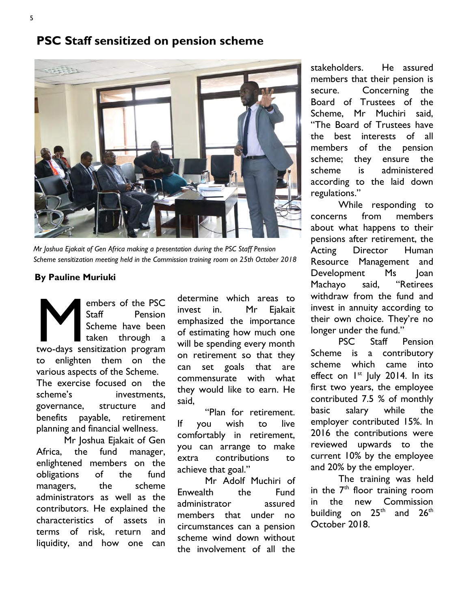## **PSC Staff sensitized on pension scheme**



*Mr Joshua Ejakait of Gen Africa making a presentation during the PSC Staff Pension Scheme sensitization meeting held in the Commission training room on 25th October 2018* 

### **By Pauline Muriuki**

embers of the PSC<br>
Staff Pension<br>
Scheme have been<br>
taken through a<br>
two-days sensitization program embers of the PSC Staff Pension Scheme have been taken through a to enlighten them on the various aspects of the Scheme. The exercise focused on the scheme's investments, governance, structure and benefits payable, retirement planning and financial wellness.

Mr Joshua Ejakait of Gen Africa, the fund manager, enlightened members on the obligations of the fund managers, the scheme administrators as well as the contributors. He explained the characteristics of assets in terms of risk, return and liquidity, and how one can

determine which areas to invest in. Mr Eiakait emphasized the importance of estimating how much one will be spending every month on retirement so that they can set goals that are commensurate with what they would like to earn. He said,

"Plan for retirement. If you wish to live comfortably in retirement, you can arrange to make extra contributions to achieve that goal."

Mr Adolf Muchiri of Enwealth the Fund administrator assured members that under no circumstances can a pension scheme wind down without the involvement of all the stakeholders. He assured members that their pension is secure. Concerning the Board of Trustees of the Scheme, Mr Muchiri said, "The Board of Trustees have the best interests of all members of the pension scheme; they ensure the scheme is administered according to the laid down regulations."

While responding to concerns from members about what happens to their pensions after retirement, the Acting Director Human Resource Management and Development Ms Joan Machayo said, "Retirees withdraw from the fund and invest in annuity according to their own choice. They're no longer under the fund."

PSC Staff Pension Scheme is a contributory scheme which came into effect on 1<sup>st</sup> July 2014. In its first two years, the employee contributed 7.5 % of monthly basic salary while the employer contributed 15%. In 2016 the contributions were reviewed upwards to the current 10% by the employee and 20% by the employer.

The training was held in the  $7<sup>th</sup>$  floor training room in the new Commission building on  $25<sup>th</sup>$  and  $26<sup>th</sup>$ October 2018.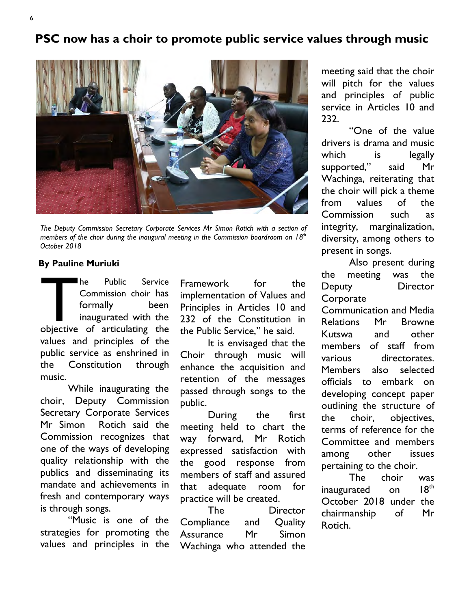## **PSC now has a choir to promote public service values through music**



*The Deputy Commission Secretary Corporate Services Mr Simon Rotich with a section of members of the choir during the inaugural meeting in the Commission boardroom on 18th October 2018*

## **By Pauline Muriuki**

The Public Service<br>
Commission choir has<br>
formally been<br>
inaugurated with the<br>
objective of articulating the he Public Service Commission choir has formally been inaugurated with the values and principles of the public service as enshrined in the Constitution through music.

While inaugurating the choir, Deputy Commission Secretary Corporate Services Mr Simon Rotich said the Commission recognizes that one of the ways of developing quality relationship with the publics and disseminating its mandate and achievements in fresh and contemporary ways is through songs.

"Music is one of the strategies for promoting the values and principles in the Framework for the implementation of Values and Principles in Articles 10 and 232 of the Constitution in the Public Service," he said.

It is envisaged that the Choir through music will enhance the acquisition and retention of the messages passed through songs to the public.

During the first meeting held to chart the way forward, Mr Rotich expressed satisfaction with the good response from members of staff and assured that adequate room for practice will be created.

The Director Compliance and Quality Assurance Mr Simon Wachinga who attended the meeting said that the choir will pitch for the values and principles of public service in Articles 10 and 232.

"One of the value drivers is drama and music which is legally supported," said Mr Wachinga, reiterating that the choir will pick a theme from values of the Commission such as integrity, marginalization, diversity, among others to present in songs.

Also present during the meeting was the Deputy Director **Corporate** 

Communication and Media Relations Mr Browne Kutswa and other members of staff from various directorates. Members also selected officials to embark on developing concept paper outlining the structure of the choir, objectives, terms of reference for the Committee and members among other issues pertaining to the choir.

The choir was inaugurated on 18<sup>th</sup> October 2018 under the chairmanship of Mr Rotich.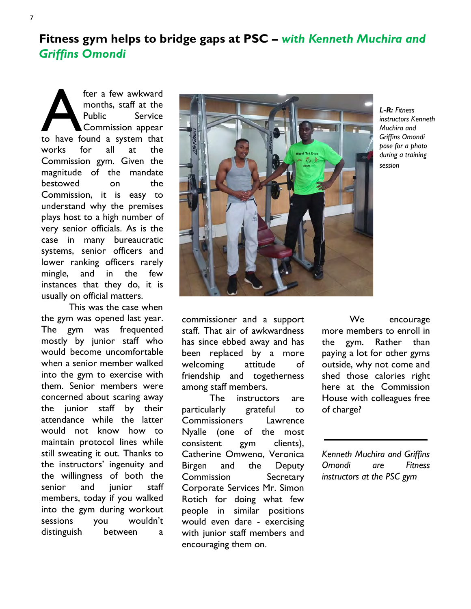**Fitness gym helps to bridge gaps at PSC –** *with Kenneth Muchira and Griffins Omondi*

fter a few awkward<br>
months, staff at the<br>
Public Service<br>
Commission appear<br>
to have found a system that fter a few awkward months, staff at the Public Service Commission appear works for all at the Commission gym. Given the magnitude of the mandate bestowed on the Commission, it is easy to understand why the premises plays host to a high number of very senior officials. As is the case in many bureaucratic systems, senior officers and lower ranking officers rarely mingle, and in the few instances that they do, it is usually on official matters.

This was the case when the gym was opened last year. The gym was frequented mostly by junior staff who would become uncomfortable when a senior member walked into the gym to exercise with them. Senior members were concerned about scaring away the junior staff by their attendance while the latter would not know how to maintain protocol lines while still sweating it out. Thanks to the instructors' ingenuity and the willingness of both the senior and iunior staff members, today if you walked into the gym during workout sessions you wouldn't distinguish between a



*L-R: Fitness instructors Kenneth Muchira and Griffins Omondi pose for a photo during a training session*

commissioner and a support staff. That air of awkwardness has since ebbed away and has been replaced by a more welcoming attitude of friendship and togetherness among staff members.

The instructors are particularly grateful to Commissioners Lawrence Nyalle (one of the most consistent gym clients), Catherine Omweno, Veronica Birgen and the Deputy Commission Secretary Corporate Services Mr. Simon Rotich for doing what few people in similar positions would even dare - exercising with junior staff members and encouraging them on.

We encourage more members to enroll in the gym. Rather than paying a lot for other gyms outside, why not come and shed those calories right here at the Commission House with colleagues free of charge?

*Kenneth Muchira and Griffins Omondi are Fitness instructors at the PSC gym*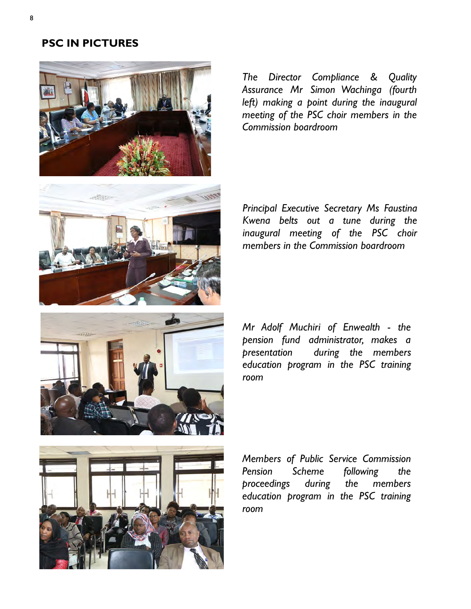## **PSC IN PICTURES**



*The Director Compliance & Quality Assurance Mr Simon Wachinga (fourth left) making a point during the inaugural meeting of the PSC choir members in the Commission boardroom*



*Principal Executive Secretary Ms Faustina Kwena belts out a tune during the inaugural meeting of the PSC choir members in the Commission boardroom*

*Mr Adolf Muchiri of Enwealth - the pension fund administrator, makes a presentation during the members education program in the PSC training room*



*Members of Public Service Commission Pension Scheme following the proceedings during the members education program in the PSC training room*